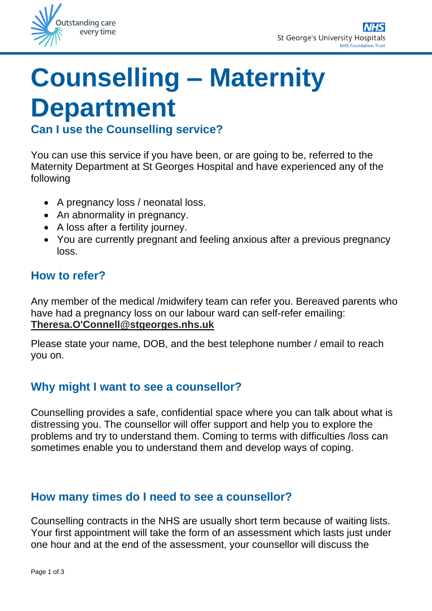

# **Counselling – Maternity Department**

## **Can I use the Counselling service?**

You can use this service if you have been, or are going to be, referred to the Maternity Department at St Georges Hospital and have experienced any of the following

- A pregnancy loss / neonatal loss.
- An abnormality in pregnancy.
- A loss after a fertility journey.
- You are currently pregnant and feeling anxious after a previous pregnancy loss.

#### **How to refer?**

Any member of the medical /midwifery team can refer you. Bereaved parents who have had a pregnancy loss on our labour ward can self-refer emailing: **Theresa.O'Connell@stgeorges.nhs.uk**

Please state your name, DOB, and the best telephone number / email to reach you on.

### **Why might I want to see a counsellor?**

Counselling provides a safe, confidential space where you can talk about what is distressing you. The counsellor will offer support and help you to explore the problems and try to understand them. Coming to terms with difficulties /loss can sometimes enable you to understand them and develop ways of coping.

#### **How many times do I need to see a counsellor?**

Counselling contracts in the NHS are usually short term because of waiting lists. Your first appointment will take the form of an assessment which lasts just under one hour and at the end of the assessment, your counsellor will discuss the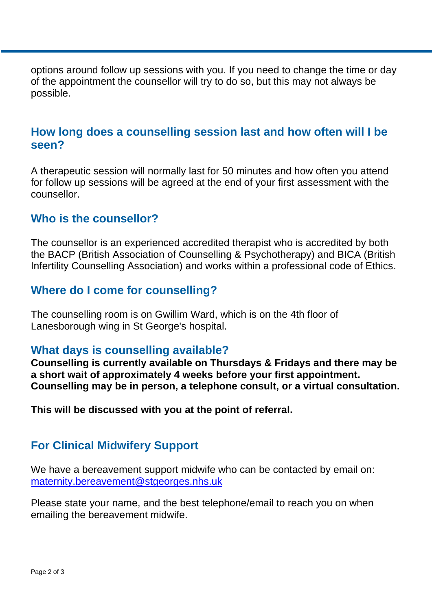options around follow up sessions with you. If you need to change the time or day of the appointment the counsellor will try to do so, but this may not always be possible.

### **How long does a counselling session last and how often will I be seen?**

A therapeutic session will normally last for 50 minutes and how often you attend for follow up sessions will be agreed at the end of your first assessment with the counsellor.

#### **Who is the counsellor?**

The counsellor is an experienced accredited therapist who is accredited by both the BACP (British Association of Counselling & Psychotherapy) and BICA (British Infertility Counselling Association) and works within a professional code of Ethics.

#### **Where do I come for counselling?**

The counselling room is on Gwillim Ward, which is on the 4th floor of Lanesborough wing in St George's hospital.

#### **What days is counselling available?**

**Counselling is currently available on Thursdays & Fridays and there may be a short wait of approximately 4 weeks before your first appointment. Counselling may be in person, a telephone consult, or a virtual consultation.**

**This will be discussed with you at the point of referral.**

## **For Clinical Midwifery Support**

We have a bereavement support midwife who can be contacted by email on: [maternity.bereavement@stgeorges.nhs.uk](mailto:maternity.bereavement@stgeorges.nhs.uk)

Please state your name, and the best telephone/email to reach you on when emailing the bereavement midwife.